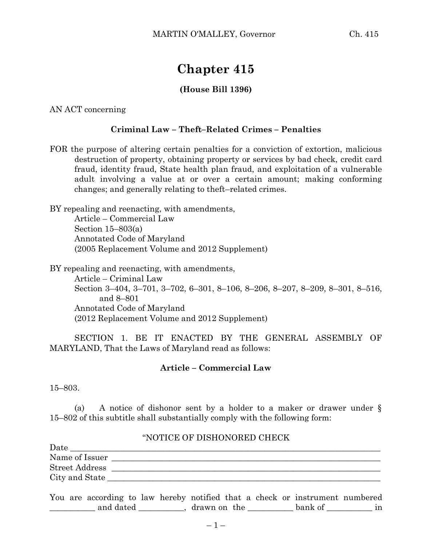# **Chapter 415**

### **(House Bill 1396)**

AN ACT concerning

#### **Criminal Law – Theft–Related Crimes – Penalties**

FOR the purpose of altering certain penalties for a conviction of extortion, malicious destruction of property, obtaining property or services by bad check, credit card fraud, identity fraud, State health plan fraud, and exploitation of a vulnerable adult involving a value at or over a certain amount; making conforming changes; and generally relating to theft–related crimes.

BY repealing and reenacting, with amendments, Article – Commercial Law Section 15–803(a)

Annotated Code of Maryland (2005 Replacement Volume and 2012 Supplement)

BY repealing and reenacting, with amendments,

Article – Criminal Law Section 3–404, 3–701, 3–702, 6–301, 8–106, 8–206, 8–207, 8–209, 8–301, 8–516, and 8–801 Annotated Code of Maryland (2012 Replacement Volume and 2012 Supplement)

SECTION 1. BE IT ENACTED BY THE GENERAL ASSEMBLY OF MARYLAND, That the Laws of Maryland read as follows:

#### **Article – Commercial Law**

15–803.

(a) A notice of dishonor sent by a holder to a maker or drawer under § 15–802 of this subtitle shall substantially comply with the following form:

#### "NOTICE OF DISHONORED CHECK

| Date                  |  |
|-----------------------|--|
| Name of Issuer        |  |
| <b>Street Address</b> |  |
| City and State        |  |

You are according to law hereby notified that a check or instrument numbered \_\_\_\_\_\_\_\_\_\_\_ and dated \_\_\_\_\_\_\_\_\_\_\_, drawn on the \_\_\_\_\_\_\_\_\_\_\_ bank of \_\_\_\_\_\_\_\_\_\_\_ in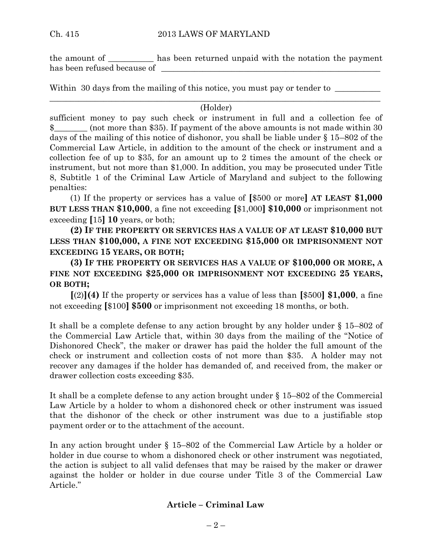the amount of \_\_\_\_\_\_\_\_\_\_\_ has been returned unpaid with the notation the payment has been refused because of

Within 30 days from the mailing of this notice, you must pay or tender to

#### $\_$  , and the set of the set of the set of the set of the set of the set of the set of the set of the set of the set of the set of the set of the set of the set of the set of the set of the set of the set of the set of th (Holder)

sufficient money to pay such check or instrument in full and a collection fee of \$\_\_\_\_\_\_\_\_ (not more than \$35). If payment of the above amounts is not made within 30 days of the mailing of this notice of dishonor, you shall be liable under § 15–802 of the Commercial Law Article, in addition to the amount of the check or instrument and a collection fee of up to \$35, for an amount up to 2 times the amount of the check or instrument, but not more than \$1,000. In addition, you may be prosecuted under Title 8, Subtitle 1 of the Criminal Law Article of Maryland and subject to the following penalties:

(1) If the property or services has a value of **[**\$500 or more**] AT LEAST \$1,000 BUT LESS THAN \$10,000**, a fine not exceeding **[**\$1,000**] \$10,000** or imprisonment not exceeding **[**15**] 10** years, or both;

**(2) IF THE PROPERTY OR SERVICES HAS A VALUE OF AT LEAST \$10,000 BUT LESS THAN \$100,000, A FINE NOT EXCEEDING \$15,000 OR IMPRISONMENT NOT EXCEEDING 15 YEARS, OR BOTH;**

**(3) IF THE PROPERTY OR SERVICES HAS A VALUE OF \$100,000 OR MORE, A FINE NOT EXCEEDING \$25,000 OR IMPRISONMENT NOT EXCEEDING 25 YEARS, OR BOTH;**

**[**(2)**](4)** If the property or services has a value of less than **[**\$500**] \$1,000**, a fine not exceeding **[**\$100**] \$500** or imprisonment not exceeding 18 months, or both.

It shall be a complete defense to any action brought by any holder under § 15–802 of the Commercial Law Article that, within 30 days from the mailing of the "Notice of Dishonored Check", the maker or drawer has paid the holder the full amount of the check or instrument and collection costs of not more than \$35. A holder may not recover any damages if the holder has demanded of, and received from, the maker or drawer collection costs exceeding \$35.

It shall be a complete defense to any action brought under § 15–802 of the Commercial Law Article by a holder to whom a dishonored check or other instrument was issued that the dishonor of the check or other instrument was due to a justifiable stop payment order or to the attachment of the account.

In any action brought under § 15–802 of the Commercial Law Article by a holder or holder in due course to whom a dishonored check or other instrument was negotiated, the action is subject to all valid defenses that may be raised by the maker or drawer against the holder or holder in due course under Title 3 of the Commercial Law Article."

### **Article – Criminal Law**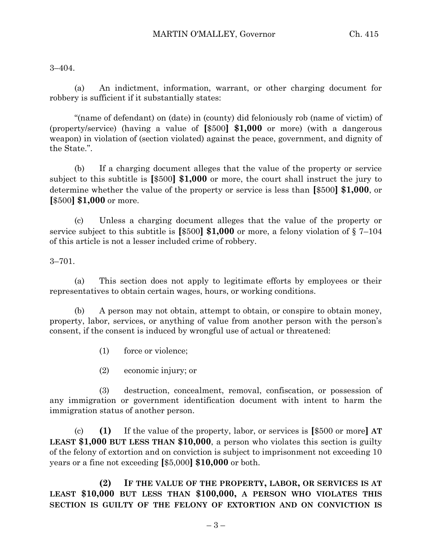3–404.

(a) An indictment, information, warrant, or other charging document for robbery is sufficient if it substantially states:

"(name of defendant) on (date) in (county) did feloniously rob (name of victim) of (property/service) (having a value of **[**\$500**] \$1,000** or more) (with a dangerous weapon) in violation of (section violated) against the peace, government, and dignity of the State.".

(b) If a charging document alleges that the value of the property or service subject to this subtitle is **[**\$500**] \$1,000** or more, the court shall instruct the jury to determine whether the value of the property or service is less than **[**\$500**] \$1,000**, or **[**\$500**] \$1,000** or more.

(c) Unless a charging document alleges that the value of the property or service subject to this subtitle is **[**\$500**] \$1,000** or more, a felony violation of § 7–104 of this article is not a lesser included crime of robbery.

3–701.

(a) This section does not apply to legitimate efforts by employees or their representatives to obtain certain wages, hours, or working conditions.

(b) A person may not obtain, attempt to obtain, or conspire to obtain money, property, labor, services, or anything of value from another person with the person's consent, if the consent is induced by wrongful use of actual or threatened:

(1) force or violence;

(2) economic injury; or

(3) destruction, concealment, removal, confiscation, or possession of any immigration or government identification document with intent to harm the immigration status of another person.

(c) **(1)** If the value of the property, labor, or services is **[**\$500 or more**] AT LEAST \$1,000 BUT LESS THAN \$10,000**, a person who violates this section is guilty of the felony of extortion and on conviction is subject to imprisonment not exceeding 10 years or a fine not exceeding **[**\$5,000**] \$10,000** or both.

**(2) IF THE VALUE OF THE PROPERTY, LABOR, OR SERVICES IS AT LEAST \$10,000 BUT LESS THAN \$100,000, A PERSON WHO VIOLATES THIS SECTION IS GUILTY OF THE FELONY OF EXTORTION AND ON CONVICTION IS**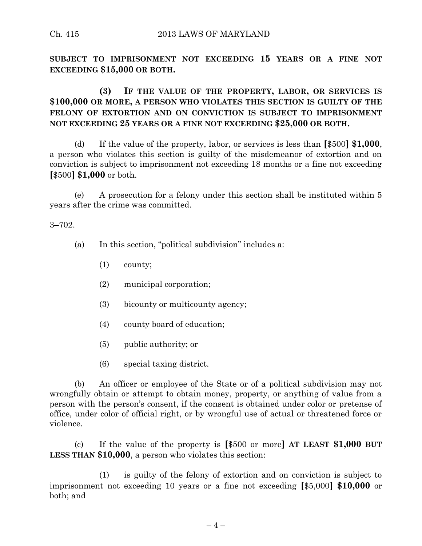**SUBJECT TO IMPRISONMENT NOT EXCEEDING 15 YEARS OR A FINE NOT EXCEEDING \$15,000 OR BOTH.**

**(3) IF THE VALUE OF THE PROPERTY, LABOR, OR SERVICES IS \$100,000 OR MORE, A PERSON WHO VIOLATES THIS SECTION IS GUILTY OF THE FELONY OF EXTORTION AND ON CONVICTION IS SUBJECT TO IMPRISONMENT NOT EXCEEDING 25 YEARS OR A FINE NOT EXCEEDING \$25,000 OR BOTH.**

(d) If the value of the property, labor, or services is less than **[**\$500**] \$1,000**, a person who violates this section is guilty of the misdemeanor of extortion and on conviction is subject to imprisonment not exceeding 18 months or a fine not exceeding **[**\$500**] \$1,000** or both.

(e) A prosecution for a felony under this section shall be instituted within 5 years after the crime was committed.

3–702.

- (a) In this section, "political subdivision" includes a:
	- (1) county;
	- (2) municipal corporation;
	- (3) bicounty or multicounty agency;
	- (4) county board of education;
	- (5) public authority; or
	- (6) special taxing district.

(b) An officer or employee of the State or of a political subdivision may not wrongfully obtain or attempt to obtain money, property, or anything of value from a person with the person's consent, if the consent is obtained under color or pretense of office, under color of official right, or by wrongful use of actual or threatened force or violence.

(c) If the value of the property is **[**\$500 or more**] AT LEAST \$1,000 BUT LESS THAN \$10,000**, a person who violates this section:

(1) is guilty of the felony of extortion and on conviction is subject to imprisonment not exceeding 10 years or a fine not exceeding **[**\$5,000**] \$10,000** or both; and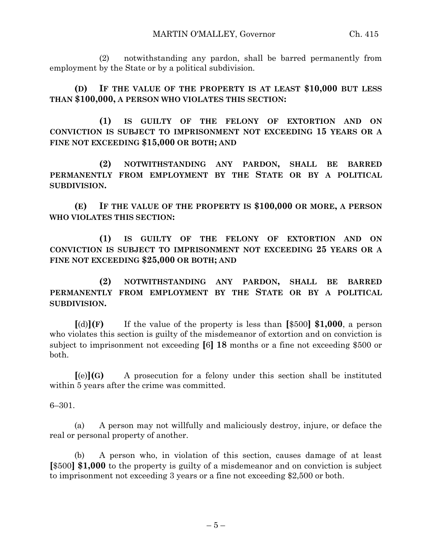(2) notwithstanding any pardon, shall be barred permanently from employment by the State or by a political subdivision.

**(D) IF THE VALUE OF THE PROPERTY IS AT LEAST \$10,000 BUT LESS THAN \$100,000, A PERSON WHO VIOLATES THIS SECTION:**

**(1) IS GUILTY OF THE FELONY OF EXTORTION AND ON CONVICTION IS SUBJECT TO IMPRISONMENT NOT EXCEEDING 15 YEARS OR A FINE NOT EXCEEDING \$15,000 OR BOTH; AND**

**(2) NOTWITHSTANDING ANY PARDON, SHALL BE BARRED PERMANENTLY FROM EMPLOYMENT BY THE STATE OR BY A POLITICAL SUBDIVISION.**

**(E) IF THE VALUE OF THE PROPERTY IS \$100,000 OR MORE, A PERSON WHO VIOLATES THIS SECTION:**

**(1) IS GUILTY OF THE FELONY OF EXTORTION AND ON CONVICTION IS SUBJECT TO IMPRISONMENT NOT EXCEEDING 25 YEARS OR A FINE NOT EXCEEDING \$25,000 OR BOTH; AND**

**(2) NOTWITHSTANDING ANY PARDON, SHALL BE BARRED PERMANENTLY FROM EMPLOYMENT BY THE STATE OR BY A POLITICAL SUBDIVISION.**

**[**(d)**](F)** If the value of the property is less than **[**\$500**] \$1,000**, a person who violates this section is guilty of the misdemeanor of extortion and on conviction is subject to imprisonment not exceeding **[**6**] 18** months or a fine not exceeding \$500 or both.

**[**(e)**](G)** A prosecution for a felony under this section shall be instituted within 5 years after the crime was committed.

6–301.

(a) A person may not willfully and maliciously destroy, injure, or deface the real or personal property of another.

(b) A person who, in violation of this section, causes damage of at least **[**\$500**] \$1,000** to the property is guilty of a misdemeanor and on conviction is subject to imprisonment not exceeding 3 years or a fine not exceeding \$2,500 or both.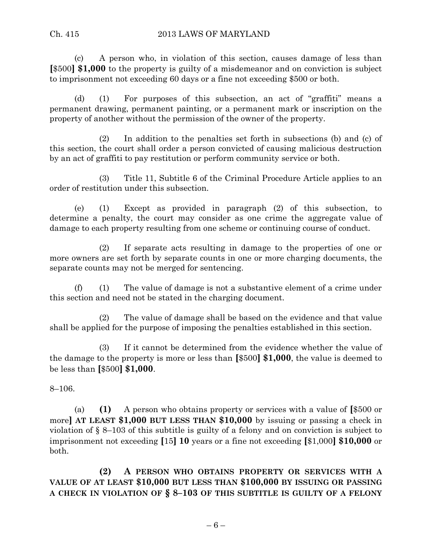(c) A person who, in violation of this section, causes damage of less than **[**\$500**] \$1,000** to the property is guilty of a misdemeanor and on conviction is subject to imprisonment not exceeding 60 days or a fine not exceeding \$500 or both.

(d) (1) For purposes of this subsection, an act of "graffiti" means a permanent drawing, permanent painting, or a permanent mark or inscription on the property of another without the permission of the owner of the property.

(2) In addition to the penalties set forth in subsections (b) and (c) of this section, the court shall order a person convicted of causing malicious destruction by an act of graffiti to pay restitution or perform community service or both.

(3) Title 11, Subtitle 6 of the Criminal Procedure Article applies to an order of restitution under this subsection.

(e) (1) Except as provided in paragraph (2) of this subsection, to determine a penalty, the court may consider as one crime the aggregate value of damage to each property resulting from one scheme or continuing course of conduct.

(2) If separate acts resulting in damage to the properties of one or more owners are set forth by separate counts in one or more charging documents, the separate counts may not be merged for sentencing.

(f) (1) The value of damage is not a substantive element of a crime under this section and need not be stated in the charging document.

(2) The value of damage shall be based on the evidence and that value shall be applied for the purpose of imposing the penalties established in this section.

(3) If it cannot be determined from the evidence whether the value of the damage to the property is more or less than **[**\$500**] \$1,000**, the value is deemed to be less than **[**\$500**] \$1,000**.

8–106.

(a) **(1)** A person who obtains property or services with a value of **[**\$500 or more**] AT LEAST \$1,000 BUT LESS THAN \$10,000** by issuing or passing a check in violation of § 8–103 of this subtitle is guilty of a felony and on conviction is subject to imprisonment not exceeding **[**15**] 10** years or a fine not exceeding **[**\$1,000**] \$10,000** or both.

**(2) A PERSON WHO OBTAINS PROPERTY OR SERVICES WITH A VALUE OF AT LEAST \$10,000 BUT LESS THAN \$100,000 BY ISSUING OR PASSING A CHECK IN VIOLATION OF § 8–103 OF THIS SUBTITLE IS GUILTY OF A FELONY**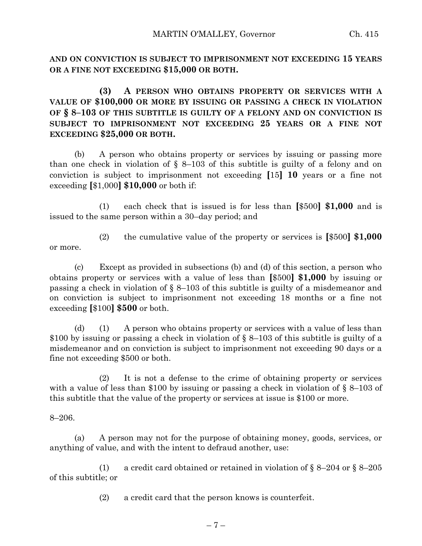**AND ON CONVICTION IS SUBJECT TO IMPRISONMENT NOT EXCEEDING 15 YEARS OR A FINE NOT EXCEEDING \$15,000 OR BOTH.**

**(3) A PERSON WHO OBTAINS PROPERTY OR SERVICES WITH A VALUE OF \$100,000 OR MORE BY ISSUING OR PASSING A CHECK IN VIOLATION OF § 8–103 OF THIS SUBTITLE IS GUILTY OF A FELONY AND ON CONVICTION IS SUBJECT TO IMPRISONMENT NOT EXCEEDING 25 YEARS OR A FINE NOT EXCEEDING \$25,000 OR BOTH.**

(b) A person who obtains property or services by issuing or passing more than one check in violation of  $\S$  8–103 of this subtitle is guilty of a felony and on conviction is subject to imprisonment not exceeding **[**15**] 10** years or a fine not exceeding **[**\$1,000**] \$10,000** or both if:

(1) each check that is issued is for less than **[**\$500**] \$1,000** and is issued to the same person within a 30–day period; and

(2) the cumulative value of the property or services is **[**\$500**] \$1,000** or more.

(c) Except as provided in subsections (b) and (d) of this section, a person who obtains property or services with a value of less than **[**\$500**] \$1,000** by issuing or passing a check in violation of § 8–103 of this subtitle is guilty of a misdemeanor and on conviction is subject to imprisonment not exceeding 18 months or a fine not exceeding **[**\$100**] \$500** or both.

(d) (1) A person who obtains property or services with a value of less than \$100 by issuing or passing a check in violation of § 8–103 of this subtitle is guilty of a misdemeanor and on conviction is subject to imprisonment not exceeding 90 days or a fine not exceeding \$500 or both.

(2) It is not a defense to the crime of obtaining property or services with a value of less than \$100 by issuing or passing a check in violation of  $\S$  8–103 of this subtitle that the value of the property or services at issue is \$100 or more.

8–206.

(a) A person may not for the purpose of obtaining money, goods, services, or anything of value, and with the intent to defraud another, use:

(1) a credit card obtained or retained in violation of  $\S 8-204$  or  $\S 8-205$ of this subtitle; or

(2) a credit card that the person knows is counterfeit.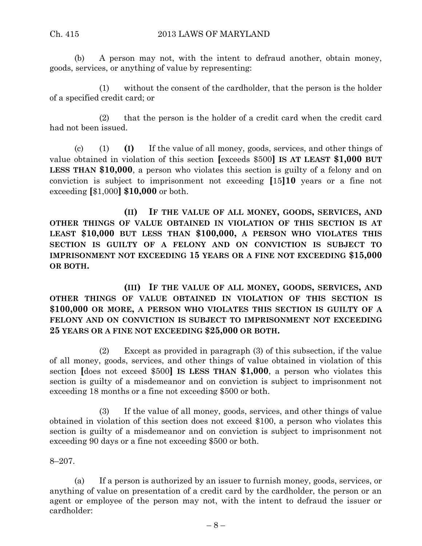(b) A person may not, with the intent to defraud another, obtain money, goods, services, or anything of value by representing:

(1) without the consent of the cardholder, that the person is the holder of a specified credit card; or

(2) that the person is the holder of a credit card when the credit card had not been issued.

(c) (1) **(I)** If the value of all money, goods, services, and other things of value obtained in violation of this section **[**exceeds \$500**] IS AT LEAST \$1,000 BUT LESS THAN \$10,000**, a person who violates this section is guilty of a felony and on conviction is subject to imprisonment not exceeding **[**15**]10** years or a fine not exceeding **[**\$1,000**] \$10,000** or both.

**(II) IF THE VALUE OF ALL MONEY, GOODS, SERVICES, AND OTHER THINGS OF VALUE OBTAINED IN VIOLATION OF THIS SECTION IS AT LEAST \$10,000 BUT LESS THAN \$100,000, A PERSON WHO VIOLATES THIS SECTION IS GUILTY OF A FELONY AND ON CONVICTION IS SUBJECT TO IMPRISONMENT NOT EXCEEDING 15 YEARS OR A FINE NOT EXCEEDING \$15,000 OR BOTH.**

**(III) IF THE VALUE OF ALL MONEY, GOODS, SERVICES, AND OTHER THINGS OF VALUE OBTAINED IN VIOLATION OF THIS SECTION IS \$100,000 OR MORE, A PERSON WHO VIOLATES THIS SECTION IS GUILTY OF A FELONY AND ON CONVICTION IS SUBJECT TO IMPRISONMENT NOT EXCEEDING 25 YEARS OR A FINE NOT EXCEEDING \$25,000 OR BOTH.**

(2) Except as provided in paragraph (3) of this subsection, if the value of all money, goods, services, and other things of value obtained in violation of this section **[**does not exceed \$500**] IS LESS THAN \$1,000**, a person who violates this section is guilty of a misdemeanor and on conviction is subject to imprisonment not exceeding 18 months or a fine not exceeding \$500 or both.

(3) If the value of all money, goods, services, and other things of value obtained in violation of this section does not exceed \$100, a person who violates this section is guilty of a misdemeanor and on conviction is subject to imprisonment not exceeding 90 days or a fine not exceeding \$500 or both.

8–207.

(a) If a person is authorized by an issuer to furnish money, goods, services, or anything of value on presentation of a credit card by the cardholder, the person or an agent or employee of the person may not, with the intent to defraud the issuer or cardholder: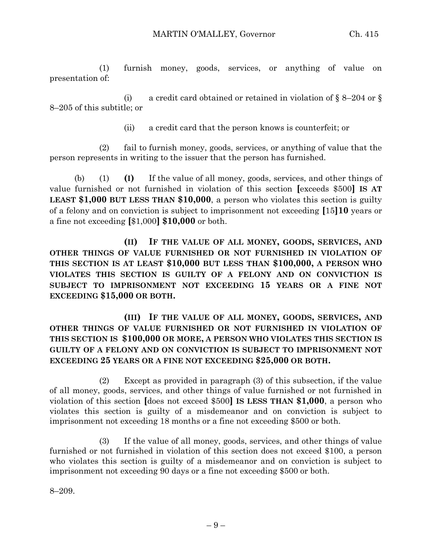(1) furnish money, goods, services, or anything of value on presentation of:

(i) a credit card obtained or retained in violation of  $\S$  8–204 or  $\S$ 8–205 of this subtitle; or

(ii) a credit card that the person knows is counterfeit; or

(2) fail to furnish money, goods, services, or anything of value that the person represents in writing to the issuer that the person has furnished.

(b) (1) **(I)** If the value of all money, goods, services, and other things of value furnished or not furnished in violation of this section **[**exceeds \$500**] IS AT LEAST \$1,000 BUT LESS THAN \$10,000**, a person who violates this section is guilty of a felony and on conviction is subject to imprisonment not exceeding **[**15**]10** years or a fine not exceeding **[**\$1,000**] \$10,000** or both.

**(II) IF THE VALUE OF ALL MONEY, GOODS, SERVICES, AND OTHER THINGS OF VALUE FURNISHED OR NOT FURNISHED IN VIOLATION OF THIS SECTION IS AT LEAST \$10,000 BUT LESS THAN \$100,000, A PERSON WHO VIOLATES THIS SECTION IS GUILTY OF A FELONY AND ON CONVICTION IS SUBJECT TO IMPRISONMENT NOT EXCEEDING 15 YEARS OR A FINE NOT EXCEEDING \$15,000 OR BOTH.**

**(III) IF THE VALUE OF ALL MONEY, GOODS, SERVICES, AND OTHER THINGS OF VALUE FURNISHED OR NOT FURNISHED IN VIOLATION OF THIS SECTION IS \$100,000 OR MORE, A PERSON WHO VIOLATES THIS SECTION IS GUILTY OF A FELONY AND ON CONVICTION IS SUBJECT TO IMPRISONMENT NOT EXCEEDING 25 YEARS OR A FINE NOT EXCEEDING \$25,000 OR BOTH.**

(2) Except as provided in paragraph (3) of this subsection, if the value of all money, goods, services, and other things of value furnished or not furnished in violation of this section **[**does not exceed \$500**] IS LESS THAN \$1,000**, a person who violates this section is guilty of a misdemeanor and on conviction is subject to imprisonment not exceeding 18 months or a fine not exceeding \$500 or both.

(3) If the value of all money, goods, services, and other things of value furnished or not furnished in violation of this section does not exceed \$100, a person who violates this section is guilty of a misdemeanor and on conviction is subject to imprisonment not exceeding 90 days or a fine not exceeding \$500 or both.

8–209.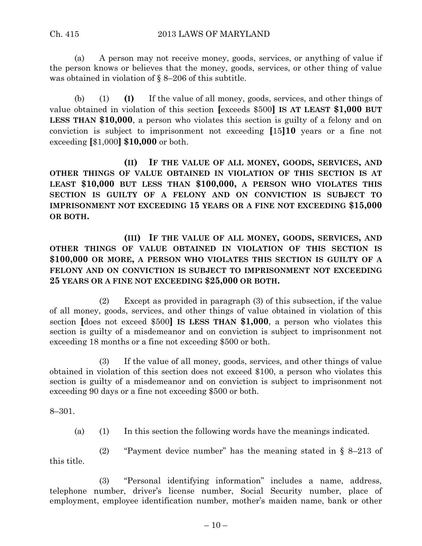#### Ch. 415 2013 LAWS OF MARYLAND

(a) A person may not receive money, goods, services, or anything of value if the person knows or believes that the money, goods, services, or other thing of value was obtained in violation of § 8–206 of this subtitle.

(b) (1) **(I)** If the value of all money, goods, services, and other things of value obtained in violation of this section **[**exceeds \$500**] IS AT LEAST \$1,000 BUT LESS THAN \$10,000**, a person who violates this section is guilty of a felony and on conviction is subject to imprisonment not exceeding **[**15**]10** years or a fine not exceeding **[**\$1,000**] \$10,000** or both.

**(II) IF THE VALUE OF ALL MONEY, GOODS, SERVICES, AND OTHER THINGS OF VALUE OBTAINED IN VIOLATION OF THIS SECTION IS AT LEAST \$10,000 BUT LESS THAN \$100,000, A PERSON WHO VIOLATES THIS SECTION IS GUILTY OF A FELONY AND ON CONVICTION IS SUBJECT TO IMPRISONMENT NOT EXCEEDING 15 YEARS OR A FINE NOT EXCEEDING \$15,000 OR BOTH.**

**(III) IF THE VALUE OF ALL MONEY, GOODS, SERVICES, AND OTHER THINGS OF VALUE OBTAINED IN VIOLATION OF THIS SECTION IS \$100,000 OR MORE, A PERSON WHO VIOLATES THIS SECTION IS GUILTY OF A FELONY AND ON CONVICTION IS SUBJECT TO IMPRISONMENT NOT EXCEEDING 25 YEARS OR A FINE NOT EXCEEDING \$25,000 OR BOTH.**

(2) Except as provided in paragraph (3) of this subsection, if the value of all money, goods, services, and other things of value obtained in violation of this section **[**does not exceed \$500**] IS LESS THAN \$1,000**, a person who violates this section is guilty of a misdemeanor and on conviction is subject to imprisonment not exceeding 18 months or a fine not exceeding \$500 or both.

(3) If the value of all money, goods, services, and other things of value obtained in violation of this section does not exceed \$100, a person who violates this section is guilty of a misdemeanor and on conviction is subject to imprisonment not exceeding 90 days or a fine not exceeding \$500 or both.

8–301.

(a) (1) In this section the following words have the meanings indicated.

(2) "Payment device number" has the meaning stated in § 8–213 of this title.

(3) "Personal identifying information" includes a name, address, telephone number, driver's license number, Social Security number, place of employment, employee identification number, mother's maiden name, bank or other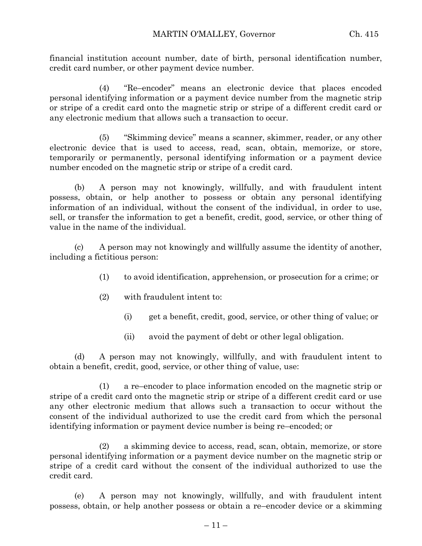financial institution account number, date of birth, personal identification number, credit card number, or other payment device number.

(4) "Re–encoder" means an electronic device that places encoded personal identifying information or a payment device number from the magnetic strip or stripe of a credit card onto the magnetic strip or stripe of a different credit card or any electronic medium that allows such a transaction to occur.

(5) "Skimming device" means a scanner, skimmer, reader, or any other electronic device that is used to access, read, scan, obtain, memorize, or store, temporarily or permanently, personal identifying information or a payment device number encoded on the magnetic strip or stripe of a credit card.

(b) A person may not knowingly, willfully, and with fraudulent intent possess, obtain, or help another to possess or obtain any personal identifying information of an individual, without the consent of the individual, in order to use, sell, or transfer the information to get a benefit, credit, good, service, or other thing of value in the name of the individual.

(c) A person may not knowingly and willfully assume the identity of another, including a fictitious person:

- (1) to avoid identification, apprehension, or prosecution for a crime; or
- (2) with fraudulent intent to:
	- (i) get a benefit, credit, good, service, or other thing of value; or
	- (ii) avoid the payment of debt or other legal obligation.

(d) A person may not knowingly, willfully, and with fraudulent intent to obtain a benefit, credit, good, service, or other thing of value, use:

(1) a re–encoder to place information encoded on the magnetic strip or stripe of a credit card onto the magnetic strip or stripe of a different credit card or use any other electronic medium that allows such a transaction to occur without the consent of the individual authorized to use the credit card from which the personal identifying information or payment device number is being re–encoded; or

(2) a skimming device to access, read, scan, obtain, memorize, or store personal identifying information or a payment device number on the magnetic strip or stripe of a credit card without the consent of the individual authorized to use the credit card.

(e) A person may not knowingly, willfully, and with fraudulent intent possess, obtain, or help another possess or obtain a re–encoder device or a skimming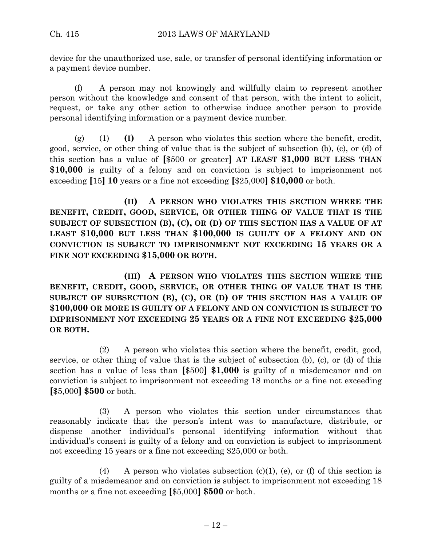device for the unauthorized use, sale, or transfer of personal identifying information or a payment device number.

(f) A person may not knowingly and willfully claim to represent another person without the knowledge and consent of that person, with the intent to solicit, request, or take any other action to otherwise induce another person to provide personal identifying information or a payment device number.

(g) (1) **(I)** A person who violates this section where the benefit, credit, good, service, or other thing of value that is the subject of subsection (b), (c), or (d) of this section has a value of **[**\$500 or greater**] AT LEAST \$1,000 BUT LESS THAN \$10,000** is guilty of a felony and on conviction is subject to imprisonment not exceeding **[**15**] 10** years or a fine not exceeding **[**\$25,000**] \$10,000** or both.

**(II) A PERSON WHO VIOLATES THIS SECTION WHERE THE BENEFIT, CREDIT, GOOD, SERVICE, OR OTHER THING OF VALUE THAT IS THE SUBJECT OF SUBSECTION (B), (C), OR (D) OF THIS SECTION HAS A VALUE OF AT LEAST \$10,000 BUT LESS THAN \$100,000 IS GUILTY OF A FELONY AND ON CONVICTION IS SUBJECT TO IMPRISONMENT NOT EXCEEDING 15 YEARS OR A FINE NOT EXCEEDING \$15,000 OR BOTH.**

**(III) A PERSON WHO VIOLATES THIS SECTION WHERE THE BENEFIT, CREDIT, GOOD, SERVICE, OR OTHER THING OF VALUE THAT IS THE SUBJECT OF SUBSECTION (B), (C), OR (D) OF THIS SECTION HAS A VALUE OF \$100,000 OR MORE IS GUILTY OF A FELONY AND ON CONVICTION IS SUBJECT TO IMPRISONMENT NOT EXCEEDING 25 YEARS OR A FINE NOT EXCEEDING \$25,000 OR BOTH.**

(2) A person who violates this section where the benefit, credit, good, service, or other thing of value that is the subject of subsection (b), (c), or (d) of this section has a value of less than **[**\$500**] \$1,000** is guilty of a misdemeanor and on conviction is subject to imprisonment not exceeding 18 months or a fine not exceeding **[**\$5,000**] \$500** or both.

(3) A person who violates this section under circumstances that reasonably indicate that the person's intent was to manufacture, distribute, or dispense another individual's personal identifying information without that individual's consent is guilty of a felony and on conviction is subject to imprisonment not exceeding 15 years or a fine not exceeding \$25,000 or both.

(4) A person who violates subsection (c)(1), (e), or (f) of this section is guilty of a misdemeanor and on conviction is subject to imprisonment not exceeding 18 months or a fine not exceeding **[**\$5,000**] \$500** or both.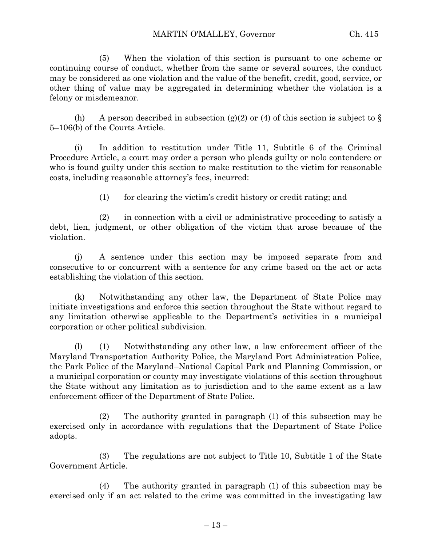(5) When the violation of this section is pursuant to one scheme or continuing course of conduct, whether from the same or several sources, the conduct may be considered as one violation and the value of the benefit, credit, good, service, or other thing of value may be aggregated in determining whether the violation is a felony or misdemeanor.

(h) A person described in subsection (g)(2) or (4) of this section is subject to  $\S$ 5–106(b) of the Courts Article.

(i) In addition to restitution under Title 11, Subtitle 6 of the Criminal Procedure Article, a court may order a person who pleads guilty or nolo contendere or who is found guilty under this section to make restitution to the victim for reasonable costs, including reasonable attorney's fees, incurred:

(1) for clearing the victim's credit history or credit rating; and

(2) in connection with a civil or administrative proceeding to satisfy a debt, lien, judgment, or other obligation of the victim that arose because of the violation.

(j) A sentence under this section may be imposed separate from and consecutive to or concurrent with a sentence for any crime based on the act or acts establishing the violation of this section.

(k) Notwithstanding any other law, the Department of State Police may initiate investigations and enforce this section throughout the State without regard to any limitation otherwise applicable to the Department's activities in a municipal corporation or other political subdivision.

(l) (1) Notwithstanding any other law, a law enforcement officer of the Maryland Transportation Authority Police, the Maryland Port Administration Police, the Park Police of the Maryland–National Capital Park and Planning Commission, or a municipal corporation or county may investigate violations of this section throughout the State without any limitation as to jurisdiction and to the same extent as a law enforcement officer of the Department of State Police.

(2) The authority granted in paragraph (1) of this subsection may be exercised only in accordance with regulations that the Department of State Police adopts.

(3) The regulations are not subject to Title 10, Subtitle 1 of the State Government Article.

(4) The authority granted in paragraph (1) of this subsection may be exercised only if an act related to the crime was committed in the investigating law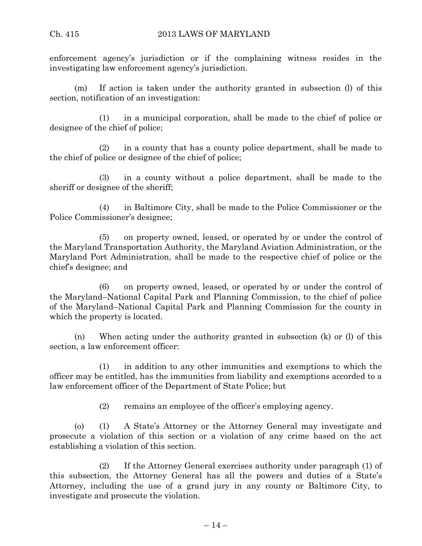enforcement agency's jurisdiction or if the complaining witness resides in the investigating law enforcement agency's jurisdiction.

(m) If action is taken under the authority granted in subsection (l) of this section, notification of an investigation:

(1) in a municipal corporation, shall be made to the chief of police or designee of the chief of police;

(2) in a county that has a county police department, shall be made to the chief of police or designee of the chief of police;

(3) in a county without a police department, shall be made to the sheriff or designee of the sheriff;

(4) in Baltimore City, shall be made to the Police Commissioner or the Police Commissioner's designee;

(5) on property owned, leased, or operated by or under the control of the Maryland Transportation Authority, the Maryland Aviation Administration, or the Maryland Port Administration, shall be made to the respective chief of police or the chief's designee; and

(6) on property owned, leased, or operated by or under the control of the Maryland–National Capital Park and Planning Commission, to the chief of police of the Maryland–National Capital Park and Planning Commission for the county in which the property is located.

(n) When acting under the authority granted in subsection (k) or (l) of this section, a law enforcement officer:

(1) in addition to any other immunities and exemptions to which the officer may be entitled, has the immunities from liability and exemptions accorded to a law enforcement officer of the Department of State Police; but

(2) remains an employee of the officer's employing agency.

(o) (1) A State's Attorney or the Attorney General may investigate and prosecute a violation of this section or a violation of any crime based on the act establishing a violation of this section.

(2) If the Attorney General exercises authority under paragraph (1) of this subsection, the Attorney General has all the powers and duties of a State's Attorney, including the use of a grand jury in any county or Baltimore City, to investigate and prosecute the violation.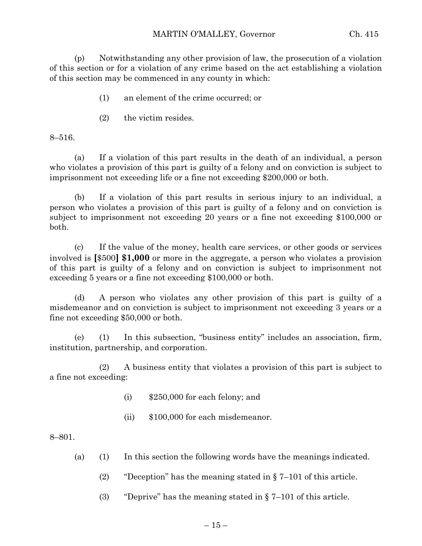(p) Notwithstanding any other provision of law, the prosecution of a violation of this section or for a violation of any crime based on the act establishing a violation of this section may be commenced in any county in which:

- (1) an element of the crime occurred; or
- (2) the victim resides.

8–516.

(a) If a violation of this part results in the death of an individual, a person who violates a provision of this part is guilty of a felony and on conviction is subject to imprisonment not exceeding life or a fine not exceeding \$200,000 or both.

(b) If a violation of this part results in serious injury to an individual, a person who violates a provision of this part is guilty of a felony and on conviction is subject to imprisonment not exceeding 20 years or a fine not exceeding \$100,000 or both.

(c) If the value of the money, health care services, or other goods or services involved is **[**\$500**] \$1,000** or more in the aggregate, a person who violates a provision of this part is guilty of a felony and on conviction is subject to imprisonment not exceeding 5 years or a fine not exceeding \$100,000 or both.

(d) A person who violates any other provision of this part is guilty of a misdemeanor and on conviction is subject to imprisonment not exceeding 3 years or a fine not exceeding \$50,000 or both.

(e) (1) In this subsection, "business entity" includes an association, firm, institution, partnership, and corporation.

(2) A business entity that violates a provision of this part is subject to a fine not exceeding:

- (i) \$250,000 for each felony; and
- (ii) \$100,000 for each misdemeanor.

#### 8–801.

- (a) (1) In this section the following words have the meanings indicated.
	- (2) "Deception" has the meaning stated in § 7–101 of this article.
	- (3) "Deprive" has the meaning stated in  $\S 7-101$  of this article.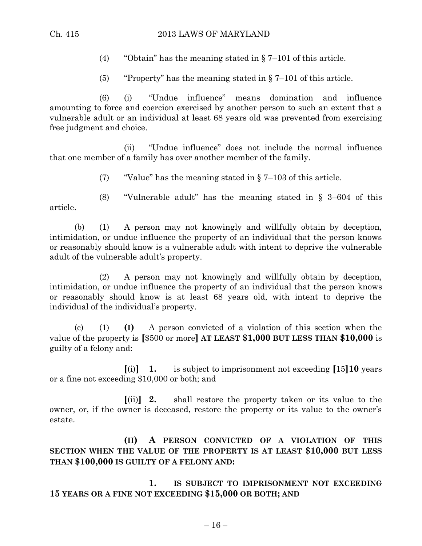- (4) "Obtain" has the meaning stated in § 7–101 of this article.
- (5) "Property" has the meaning stated in  $\S$  7–101 of this article.

(6) (i) "Undue influence" means domination and influence amounting to force and coercion exercised by another person to such an extent that a vulnerable adult or an individual at least 68 years old was prevented from exercising free judgment and choice.

(ii) "Undue influence" does not include the normal influence that one member of a family has over another member of the family.

(7) "Value" has the meaning stated in  $\S$  7–103 of this article.

(8) "Vulnerable adult" has the meaning stated in § 3–604 of this article.

(b) (1) A person may not knowingly and willfully obtain by deception, intimidation, or undue influence the property of an individual that the person knows or reasonably should know is a vulnerable adult with intent to deprive the vulnerable adult of the vulnerable adult's property.

(2) A person may not knowingly and willfully obtain by deception, intimidation, or undue influence the property of an individual that the person knows or reasonably should know is at least 68 years old, with intent to deprive the individual of the individual's property.

(c) (1) **(I)** A person convicted of a violation of this section when the value of the property is **[**\$500 or more**] AT LEAST \$1,000 BUT LESS THAN \$10,000** is guilty of a felony and:

**[**(i)**] 1.** is subject to imprisonment not exceeding **[**15**]10** years or a fine not exceeding \$10,000 or both; and

**[**(ii)**] 2.** shall restore the property taken or its value to the owner, or, if the owner is deceased, restore the property or its value to the owner's estate.

**(II) A PERSON CONVICTED OF A VIOLATION OF THIS SECTION WHEN THE VALUE OF THE PROPERTY IS AT LEAST \$10,000 BUT LESS THAN \$100,000 IS GUILTY OF A FELONY AND:**

**1. IS SUBJECT TO IMPRISONMENT NOT EXCEEDING 15 YEARS OR A FINE NOT EXCEEDING \$15,000 OR BOTH; AND**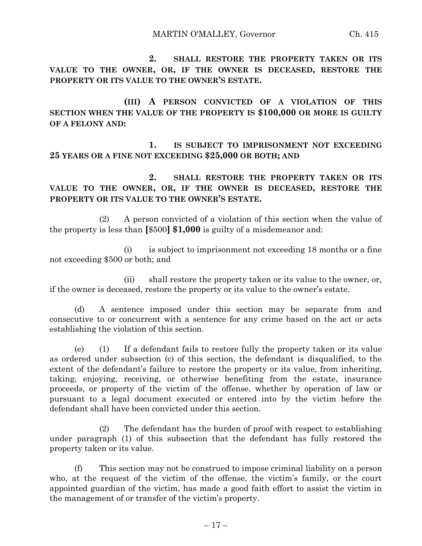**2. SHALL RESTORE THE PROPERTY TAKEN OR ITS VALUE TO THE OWNER, OR, IF THE OWNER IS DECEASED, RESTORE THE PROPERTY OR ITS VALUE TO THE OWNER'S ESTATE.**

**(III) A PERSON CONVICTED OF A VIOLATION OF THIS SECTION WHEN THE VALUE OF THE PROPERTY IS \$100,000 OR MORE IS GUILTY OF A FELONY AND:**

**1. IS SUBJECT TO IMPRISONMENT NOT EXCEEDING 25 YEARS OR A FINE NOT EXCEEDING \$25,000 OR BOTH; AND**

**2. SHALL RESTORE THE PROPERTY TAKEN OR ITS VALUE TO THE OWNER, OR, IF THE OWNER IS DECEASED, RESTORE THE PROPERTY OR ITS VALUE TO THE OWNER'S ESTATE.**

(2) A person convicted of a violation of this section when the value of the property is less than **[**\$500**] \$1,000** is guilty of a misdemeanor and:

(i) is subject to imprisonment not exceeding 18 months or a fine not exceeding \$500 or both; and

(ii) shall restore the property taken or its value to the owner, or, if the owner is deceased, restore the property or its value to the owner's estate.

(d) A sentence imposed under this section may be separate from and consecutive to or concurrent with a sentence for any crime based on the act or acts establishing the violation of this section.

(e) (1) If a defendant fails to restore fully the property taken or its value as ordered under subsection (c) of this section, the defendant is disqualified, to the extent of the defendant's failure to restore the property or its value, from inheriting, taking, enjoying, receiving, or otherwise benefiting from the estate, insurance proceeds, or property of the victim of the offense, whether by operation of law or pursuant to a legal document executed or entered into by the victim before the defendant shall have been convicted under this section.

(2) The defendant has the burden of proof with respect to establishing under paragraph (1) of this subsection that the defendant has fully restored the property taken or its value.

(f) This section may not be construed to impose criminal liability on a person who, at the request of the victim of the offense, the victim's family, or the court appointed guardian of the victim, has made a good faith effort to assist the victim in the management of or transfer of the victim's property.